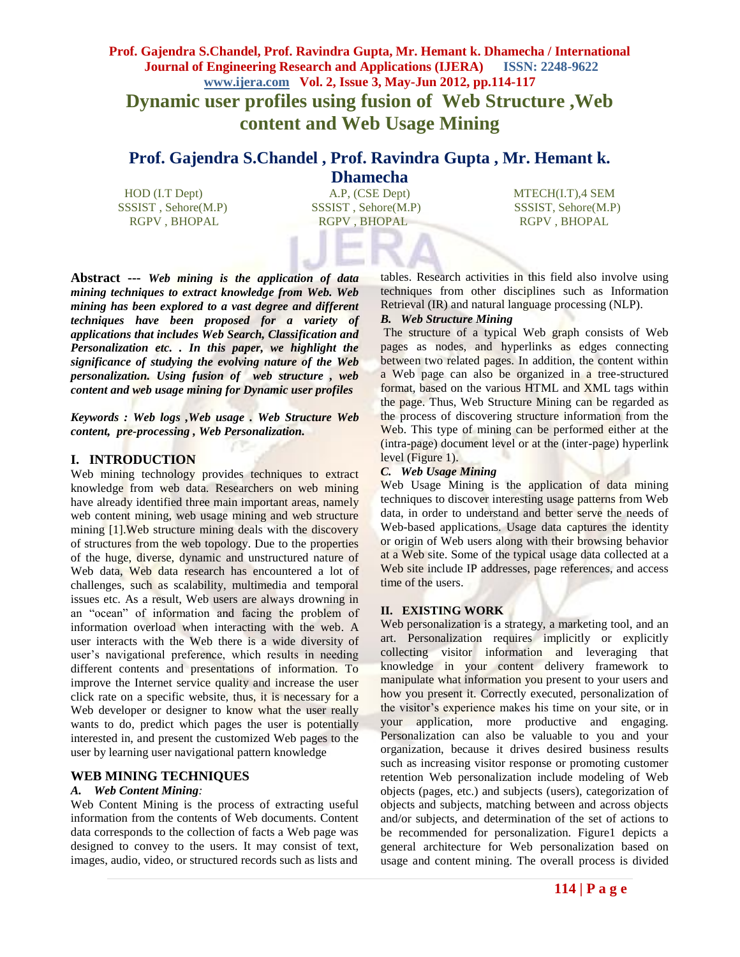# **Prof. Gajendra S.Chandel, Prof. Ravindra Gupta, Mr. Hemant k. Dhamecha / International Journal of Engineering Research and Applications (IJERA) ISSN: 2248-9622 www.ijera.com Vol. 2, Issue 3, May-Jun 2012, pp.114-117 Dynamic user profiles using fusion of Web Structure ,Web content and Web Usage Mining**

# **Prof. Gajendra S.Chandel , Prof. Ravindra Gupta , Mr. Hemant k.**

**Dhamecha**<br>A.P, (CSE Dept) HOD (I.T Dept)  $A.P.$  (CSE Dept) MTECH(I.T),4 SEM SSSIST , Sehore(M.P) SSSIST , Sehore(M.P) SSSIST, Sehore(M.P) RGPV , BHOPAL RGPV , BHOPAL RGPV , BHOPAL RGPV , BHOPAL

**Abstract ---** *Web mining is the application of data mining techniques to extract knowledge from Web. Web mining has been explored to a vast degree and different techniques have been proposed for a variety of applications that includes Web Search, Classification and Personalization etc. . In this paper, we highlight the significance of studying the evolving nature of the Web personalization. Using fusion of web structure , web content and web usage mining for Dynamic user profiles*

*Keywords : Web logs ,Web usage . Web Structure Web content, pre-processing , Web Personalization.*

# **I. INTRODUCTION**

Web mining technology provides techniques to extract knowledge from web data. Researchers on web mining have already identified three main important areas, namely web content mining, web usage mining and web structure mining [1].Web structure mining deals with the discovery of structures from the web topology. Due to the properties of the huge, diverse, dynamic and unstructured nature of Web data, Web data research has encountered a lot of challenges, such as scalability, multimedia and temporal issues etc. As a result, Web users are always drowning in an "ocean" of information and facing the problem of information overload when interacting with the web. A user interacts with the Web there is a wide diversity of user's navigational preference, which results in needing different contents and presentations of information. To improve the Internet service quality and increase the user click rate on a specific website, thus, it is necessary for a Web developer or designer to know what the user really wants to do, predict which pages the user is potentially interested in, and present the customized Web pages to the user by learning user navigational pattern knowledge

# **WEB MINING TECHNIQUES**

# *A. Web Content Mining:*

Web Content Mining is the process of extracting useful information from the contents of Web documents. Content data corresponds to the collection of facts a Web page was designed to convey to the users. It may consist of text, images, audio, video, or structured records such as lists and

tables. Research activities in this field also involve using techniques from other disciplines such as Information Retrieval (IR) and natural language processing (NLP).

# *B. Web Structure Mining*

The structure of a typical Web graph consists of Web pages as nodes, and hyperlinks as edges connecting between two related pages. In addition, the content within a Web page can also be organized in a tree-structured format, based on the various HTML and XML tags within the page. Thus, Web Structure Mining can be regarded as the process of discovering structure information from the Web. This type of mining can be performed either at the (intra-page) document level or at the (inter-page) hyperlink level (Figure 1).

# *C. Web Usage Mining*

Web Usage Mining is the application of data mining techniques to discover interesting usage patterns from Web data, in order to understand and better serve the needs of Web-based applications. Usage data captures the identity or origin of Web users along with their browsing behavior at a Web site. Some of the typical usage data collected at a Web site include IP addresses, page references, and access time of the users.

# **II. EXISTING WORK**

Web personalization is a strategy, a marketing tool, and an art. Personalization requires implicitly or explicitly collecting visitor information and leveraging that knowledge in your content delivery framework to manipulate what information you present to your users and how you present it. Correctly executed, personalization of the visitor's experience makes his time on your site, or in your application, more productive and engaging. Personalization can also be valuable to you and your organization, because it drives desired business results such as increasing visitor response or promoting customer retention Web personalization include modeling of Web objects (pages, etc.) and subjects (users), categorization of objects and subjects, matching between and across objects and/or subjects, and determination of the set of actions to be recommended for personalization. Figure1 depicts a general architecture for Web personalization based on usage and content mining. The overall process is divided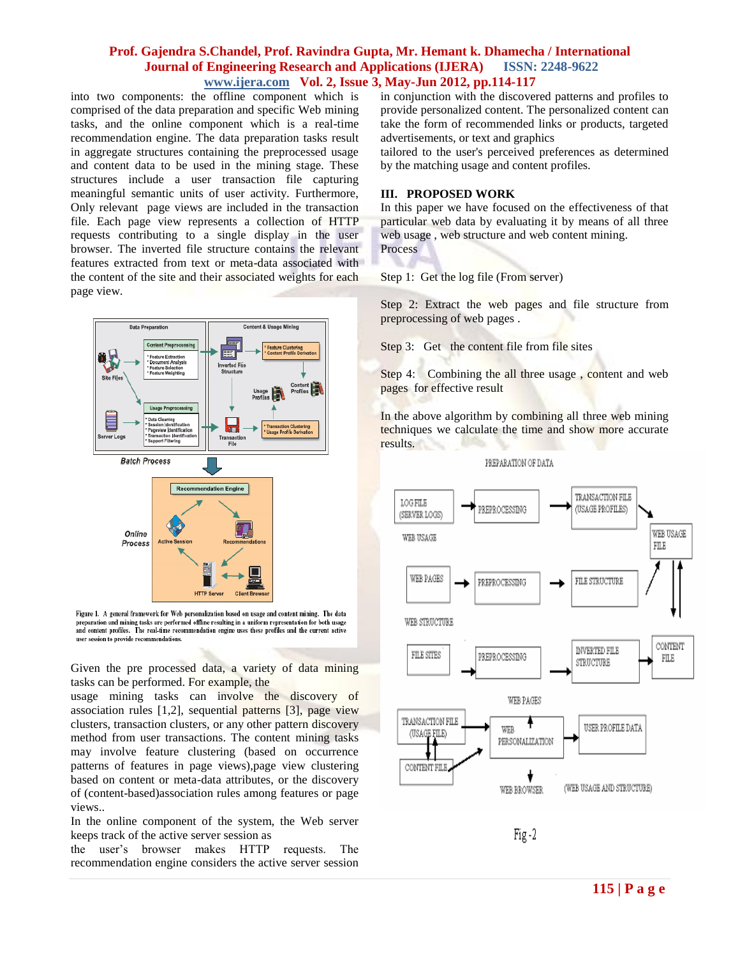# **Prof. Gajendra S.Chandel, Prof. Ravindra Gupta, Mr. Hemant k. Dhamecha / International Journal of Engineering Research and Applications (IJERA) ISSN: 2248-9622 www.ijera.com Vol. 2, Issue 3, May-Jun 2012, pp.114-117**

into two components: the offline component which is comprised of the data preparation and specific Web mining tasks, and the online component which is a real-time recommendation engine. The data preparation tasks result in aggregate structures containing the preprocessed usage and content data to be used in the mining stage. These structures include a user transaction file capturing meaningful semantic units of user activity. Furthermore, Only relevant page views are included in the transaction file. Each page view represents a collection of HTTP requests contributing to a single display in the user browser. The inverted file structure contains the relevant features extracted from text or meta-data associated with the content of the site and their associated weights for each page view.



Figure 1. A general framework for Web personalization based on usage and content mining. The data preparation and mining tasks are performed offline resulting in a uniform representation for both usage and content profiles. The real-time recommendation engine uses these profiles and the current active user session to provide recommendations.

Given the pre processed data, a variety of data mining tasks can be performed. For example, the

usage mining tasks can involve the discovery of association rules [1,2], sequential patterns [3], page view clusters, transaction clusters, or any other pattern discovery method from user transactions. The content mining tasks may involve feature clustering (based on occurrence patterns of features in page views),page view clustering based on content or meta-data attributes, or the discovery of (content-based)association rules among features or page views..

In the online component of the system, the Web server keeps track of the active server session as

the user's browser makes HTTP requests. The recommendation engine considers the active server session in conjunction with the discovered patterns and profiles to provide personalized content. The personalized content can take the form of recommended links or products, targeted advertisements, or text and graphics

tailored to the user's perceived preferences as determined by the matching usage and content profiles.

#### **III. PROPOSED WORK**

In this paper we have focused on the effectiveness of that particular web data by evaluating it by means of all three web usage , web structure and web content mining. **Process** 

Step 1: Get the log file (From server)

Step 2: Extract the web pages and file structure from preprocessing of web pages .

Step 3: Get the content file from file sites

Step 4: Combining the all three usage, content and web pages for effective result

In the above algorithm by combining all three web mining techniques we calculate the time and show more accurate results.





 $Fig - 2$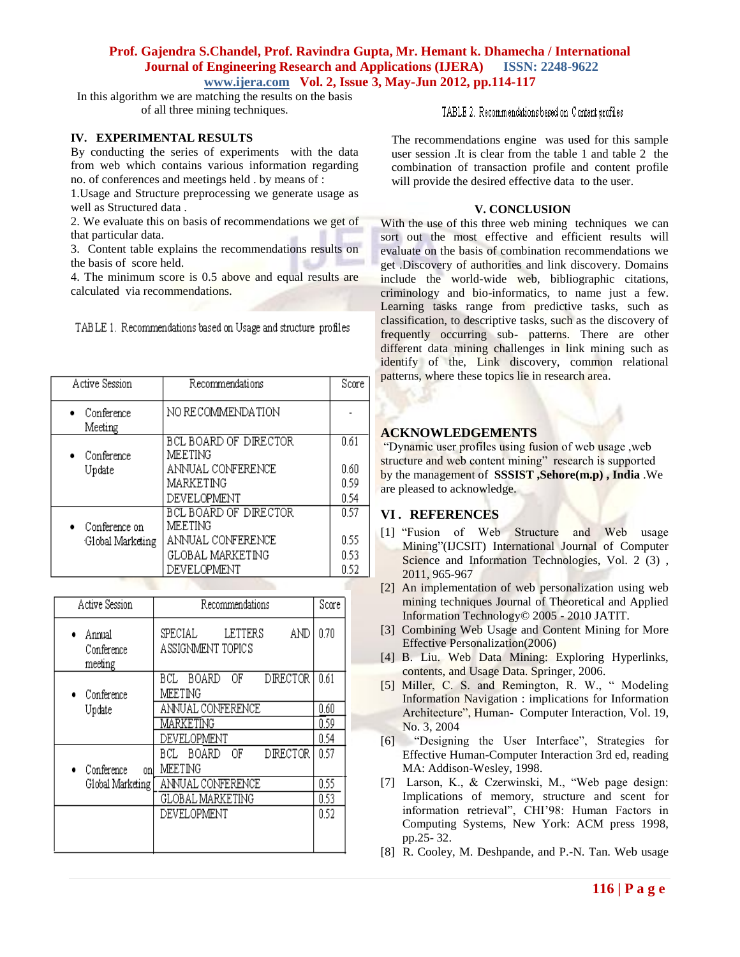# **Prof. Gajendra S.Chandel, Prof. Ravindra Gupta, Mr. Hemant k. Dhamecha / International Journal of Engineering Research and Applications (IJERA) ISSN: 2248-9622 www.ijera.com Vol. 2, Issue 3, May-Jun 2012, pp.114-117**

In this algorithm we are matching the results on the basis of all three mining techniques.

#### **IV. EXPERIMENTAL RESULTS**

By conducting the series of experiments with the data from web which contains various information regarding no. of conferences and meetings held . by means of :

1.Usage and Structure preprocessing we generate usage as well as Structured data .

2. We evaluate this on basis of recommendations we get of that particular data.

3. Content table explains the recommendations results on the basis of score held.

4. The minimum score is 0.5 above and equal results are calculated via recommendations.

|  | TABLE 1. Recommendations based on Usage and structure profiles |  |
|--|----------------------------------------------------------------|--|
|  |                                                                |  |

| Active Session          | Recommendations                         | Score |
|-------------------------|-----------------------------------------|-------|
| Conference<br>Meeting   | NO RECOMMENDATION                       |       |
| $\bullet$ Conference    | <b>BCL BOARD OF DIRECTOR</b><br>MEETING | 0.61  |
| Update                  | ANNUAL CONFERENCE                       | 0.60  |
|                         | MARKETING                               | 0.59  |
|                         | DEVELOPMENT                             | 0.54  |
|                         | <b>BCL BOARD OF DIRECTOR</b>            | 0.57  |
| $\bullet$ Conference on | MEETING                                 |       |
| Global Marketing        | ANNUAL CONFERENCE                       | 0.55  |
|                         | <b>GLOBAL MARKETING</b>                 | 0.53  |
|                         | DEVELOPMENT                             | 0.52  |

| <b>Active Session</b>           | Recommendations                                  | Score |
|---------------------------------|--------------------------------------------------|-------|
| Annual<br>Conference<br>meeting | AND<br>SPECIAL<br>LETTERS<br>ASSIGNMENT TOPICS   | 0.70  |
| Conference                      | <b>BOARD</b><br>OF<br>DRECTOR<br>BCL.<br>MEETING | 0.61  |
| Update                          | ANNUAL CONFERENCE                                | 0.60  |
|                                 | MARKETING                                        | 0.59  |
|                                 | DEVELOPMENT                                      | 0.54  |
| Conference<br>onl               | BOARD<br>ΟF<br>DIRECTOR<br>BCL.<br>MEETING       | 0.57  |
| Global Marketing                | ANNUAL CONFERENCE                                | 0.55  |
|                                 | GLOBAL MARKETING                                 | 0.53  |
|                                 | DEVELOPMENT                                      | 0.52  |

TABLE 2. Recommendations based on Content profiles

The recommendations engine was used for this sample user session .It is clear from the table 1 and table 2 the combination of transaction profile and content profile will provide the desired effective data to the user.

#### **V. CONCLUSION**

With the use of this three web mining techniques we can sort out the most effective and efficient results will evaluate on the basis of combination recommendations we get .Discovery of authorities and link discovery. Domains include the world-wide web, bibliographic citations, criminology and bio-informatics, to name just a few. Learning tasks range from predictive tasks, such as classification, to descriptive tasks, such as the discovery of frequently occurring sub- patterns. There are other different data mining challenges in link mining such as identify of the, Link discovery, common relational patterns, where these topics lie in research area.

#### **ACKNOWLEDGEMENTS**

"Dynamic user profiles using fusion of web usage ,web structure and web content mining" research is supported by the management of **SSSIST ,Sehore(m.p) , India** .We are pleased to acknowledge.

# **VI . REFERENCES**

- [1] "Fusion of Web Structure and Web usage Mining"(IJCSIT) International Journal of Computer Science and Information Technologies, Vol. 2 (3), 2011, 965-967
- [2] An implementation of web personalization using web mining techniques Journal of Theoretical and Applied Information Technology© 2005 - 2010 JATIT.
- [3] Combining Web Usage and Content Mining for More Effective Personalization(2006)
- [4] B. Liu. Web Data Mining: Exploring Hyperlinks, contents, and Usage Data. Springer, 2006.
- [5] Miller, C. S. and Remington, R. W., " Modeling Information Navigation : implications for Information Architecture", Human- Computer Interaction, Vol. 19, No. 3, 2004
- [6] "Designing the User Interface", Strategies for Effective Human-Computer Interaction 3rd ed, reading MA: Addison-Wesley, 1998.
- [7] Larson, K., & Czerwinski, M., "Web page design: Implications of memory, structure and scent for information retrieval", CHI'98: Human Factors in Computing Systems, New York: ACM press 1998, pp.25- 32.
- [8] R. Cooley, M. Deshpande, and P.-N. Tan. Web usage